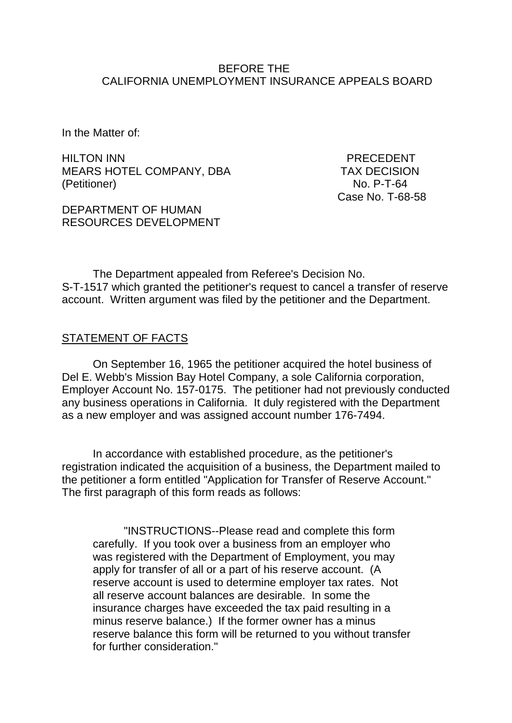#### BEFORE THE CALIFORNIA UNEMPLOYMENT INSURANCE APPEALS BOARD

In the Matter of:

HILTON INN PRECEDENT MEARS HOTEL COMPANY, DBA TAX DECISION (Petitioner) No. P-T-64

DEPARTMENT OF HUMAN RESOURCES DEVELOPMENT Case No. T-68-58

The Department appealed from Referee's Decision No. S-T-1517 which granted the petitioner's request to cancel a transfer of reserve account. Written argument was filed by the petitioner and the Department.

#### STATEMENT OF FACTS

On September 16, 1965 the petitioner acquired the hotel business of Del E. Webb's Mission Bay Hotel Company, a sole California corporation, Employer Account No. 157-0175. The petitioner had not previously conducted any business operations in California. It duly registered with the Department as a new employer and was assigned account number 176-7494.

In accordance with established procedure, as the petitioner's registration indicated the acquisition of a business, the Department mailed to the petitioner a form entitled "Application for Transfer of Reserve Account." The first paragraph of this form reads as follows:

"INSTRUCTIONS--Please read and complete this form carefully. If you took over a business from an employer who was registered with the Department of Employment, you may apply for transfer of all or a part of his reserve account. (A reserve account is used to determine employer tax rates. Not all reserve account balances are desirable. In some the insurance charges have exceeded the tax paid resulting in a minus reserve balance.) If the former owner has a minus reserve balance this form will be returned to you without transfer for further consideration."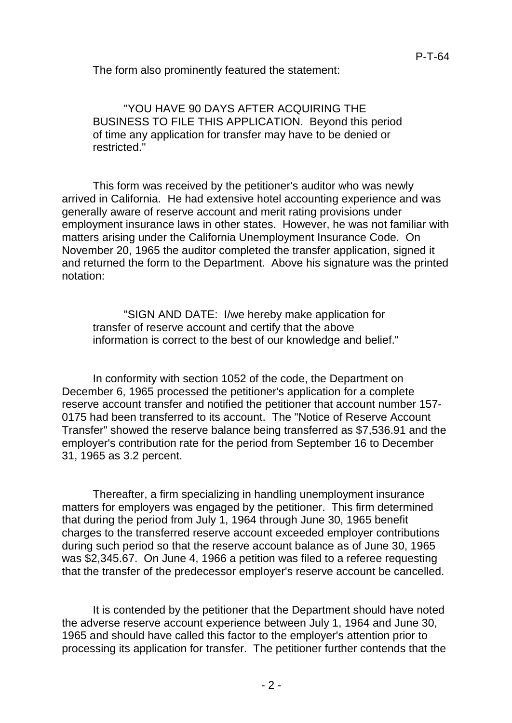The form also prominently featured the statement:

"YOU HAVE 90 DAYS AFTER ACQUIRING THE BUSINESS TO FILE THIS APPLICATION. Beyond this period of time any application for transfer may have to be denied or restricted."

This form was received by the petitioner's auditor who was newly arrived in California. He had extensive hotel accounting experience and was generally aware of reserve account and merit rating provisions under employment insurance laws in other states. However, he was not familiar with matters arising under the California Unemployment Insurance Code. On November 20, 1965 the auditor completed the transfer application, signed it and returned the form to the Department. Above his signature was the printed notation:

"SIGN AND DATE: I/we hereby make application for transfer of reserve account and certify that the above information is correct to the best of our knowledge and belief."

In conformity with section 1052 of the code, the Department on December 6, 1965 processed the petitioner's application for a complete reserve account transfer and notified the petitioner that account number 157- 0175 had been transferred to its account. The "Notice of Reserve Account Transfer" showed the reserve balance being transferred as \$7,536.91 and the employer's contribution rate for the period from September 16 to December 31, 1965 as 3.2 percent.

Thereafter, a firm specializing in handling unemployment insurance matters for employers was engaged by the petitioner. This firm determined that during the period from July 1, 1964 through June 30, 1965 benefit charges to the transferred reserve account exceeded employer contributions during such period so that the reserve account balance as of June 30, 1965 was \$2,345.67. On June 4, 1966 a petition was filed to a referee requesting that the transfer of the predecessor employer's reserve account be cancelled.

It is contended by the petitioner that the Department should have noted the adverse reserve account experience between July 1, 1964 and June 30, 1965 and should have called this factor to the employer's attention prior to processing its application for transfer. The petitioner further contends that the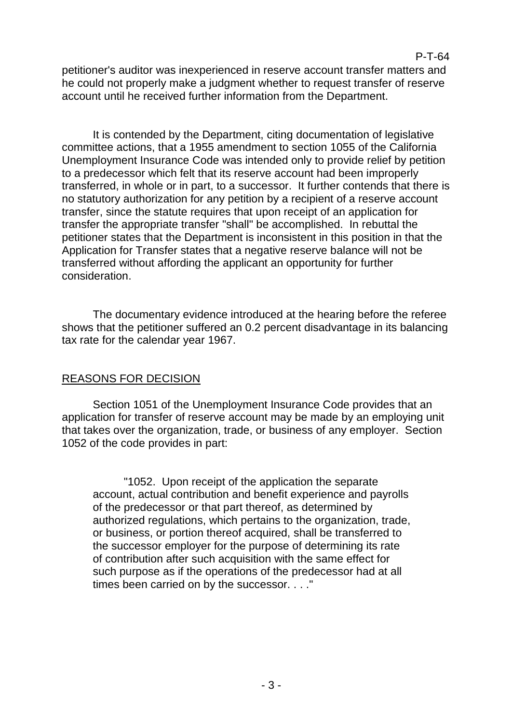### P-T-64

petitioner's auditor was inexperienced in reserve account transfer matters and he could not properly make a judgment whether to request transfer of reserve account until he received further information from the Department.

It is contended by the Department, citing documentation of legislative committee actions, that a 1955 amendment to section 1055 of the California Unemployment Insurance Code was intended only to provide relief by petition to a predecessor which felt that its reserve account had been improperly transferred, in whole or in part, to a successor. It further contends that there is no statutory authorization for any petition by a recipient of a reserve account transfer, since the statute requires that upon receipt of an application for transfer the appropriate transfer "shall" be accomplished. In rebuttal the petitioner states that the Department is inconsistent in this position in that the Application for Transfer states that a negative reserve balance will not be transferred without affording the applicant an opportunity for further consideration.

The documentary evidence introduced at the hearing before the referee shows that the petitioner suffered an 0.2 percent disadvantage in its balancing tax rate for the calendar year 1967.

#### REASONS FOR DECISION

Section 1051 of the Unemployment Insurance Code provides that an application for transfer of reserve account may be made by an employing unit that takes over the organization, trade, or business of any employer. Section 1052 of the code provides in part:

"1052. Upon receipt of the application the separate account, actual contribution and benefit experience and payrolls of the predecessor or that part thereof, as determined by authorized regulations, which pertains to the organization, trade, or business, or portion thereof acquired, shall be transferred to the successor employer for the purpose of determining its rate of contribution after such acquisition with the same effect for such purpose as if the operations of the predecessor had at all times been carried on by the successor. . . ."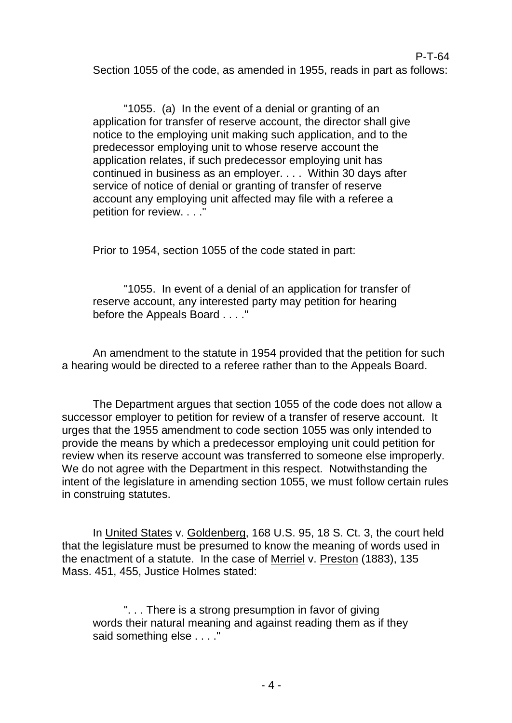P-T-64 Section 1055 of the code, as amended in 1955, reads in part as follows:

"1055. (a) In the event of a denial or granting of an application for transfer of reserve account, the director shall give notice to the employing unit making such application, and to the predecessor employing unit to whose reserve account the application relates, if such predecessor employing unit has continued in business as an employer. . . . Within 30 days after service of notice of denial or granting of transfer of reserve account any employing unit affected may file with a referee a petition for review. . . ."

Prior to 1954, section 1055 of the code stated in part:

"1055. In event of a denial of an application for transfer of reserve account, any interested party may petition for hearing before the Appeals Board . . . ."

An amendment to the statute in 1954 provided that the petition for such a hearing would be directed to a referee rather than to the Appeals Board.

The Department argues that section 1055 of the code does not allow a successor employer to petition for review of a transfer of reserve account. It urges that the 1955 amendment to code section 1055 was only intended to provide the means by which a predecessor employing unit could petition for review when its reserve account was transferred to someone else improperly. We do not agree with the Department in this respect. Notwithstanding the intent of the legislature in amending section 1055, we must follow certain rules in construing statutes.

In United States v. Goldenberg, 168 U.S. 95, 18 S. Ct. 3, the court held that the legislature must be presumed to know the meaning of words used in the enactment of a statute. In the case of Merriel v. Preston (1883), 135 Mass. 451, 455, Justice Holmes stated:

". . . There is a strong presumption in favor of giving words their natural meaning and against reading them as if they said something else . . . ."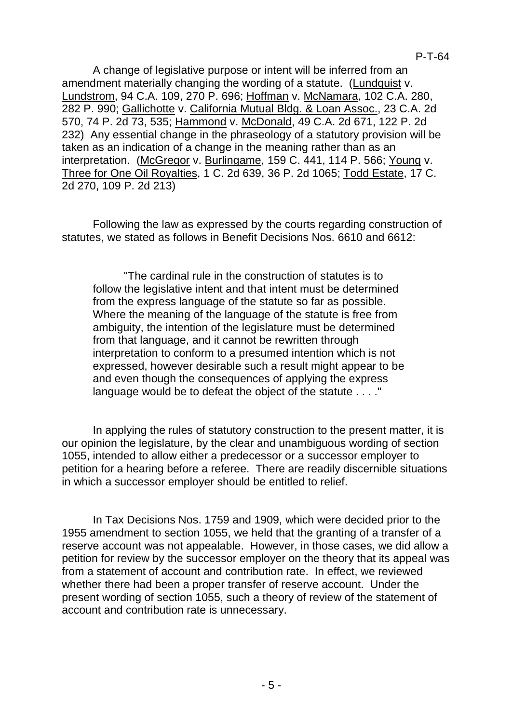P-T-64

A change of legislative purpose or intent will be inferred from an amendment materially changing the wording of a statute. (Lundquist v. Lundstrom, 94 C.A. 109, 270 P. 696; Hoffman v. McNamara, 102 C.A. 280, 282 P. 990; Gallichotte v. California Mutual Bldg. & Loan Assoc., 23 C.A. 2d 570, 74 P. 2d 73, 535; Hammond v. McDonald, 49 C.A. 2d 671, 122 P. 2d 232) Any essential change in the phraseology of a statutory provision will be taken as an indication of a change in the meaning rather than as an interpretation. (McGregor v. Burlingame, 159 C. 441, 114 P. 566; Young v. Three for One Oil Royalties, 1 C. 2d 639, 36 P. 2d 1065; Todd Estate, 17 C. 2d 270, 109 P. 2d 213)

Following the law as expressed by the courts regarding construction of statutes, we stated as follows in Benefit Decisions Nos. 6610 and 6612:

"The cardinal rule in the construction of statutes is to follow the legislative intent and that intent must be determined from the express language of the statute so far as possible. Where the meaning of the language of the statute is free from ambiguity, the intention of the legislature must be determined from that language, and it cannot be rewritten through interpretation to conform to a presumed intention which is not expressed, however desirable such a result might appear to be and even though the consequences of applying the express language would be to defeat the object of the statute . . . ."

In applying the rules of statutory construction to the present matter, it is our opinion the legislature, by the clear and unambiguous wording of section 1055, intended to allow either a predecessor or a successor employer to petition for a hearing before a referee. There are readily discernible situations in which a successor employer should be entitled to relief.

In Tax Decisions Nos. 1759 and 1909, which were decided prior to the 1955 amendment to section 1055, we held that the granting of a transfer of a reserve account was not appealable. However, in those cases, we did allow a petition for review by the successor employer on the theory that its appeal was from a statement of account and contribution rate. In effect, we reviewed whether there had been a proper transfer of reserve account. Under the present wording of section 1055, such a theory of review of the statement of account and contribution rate is unnecessary.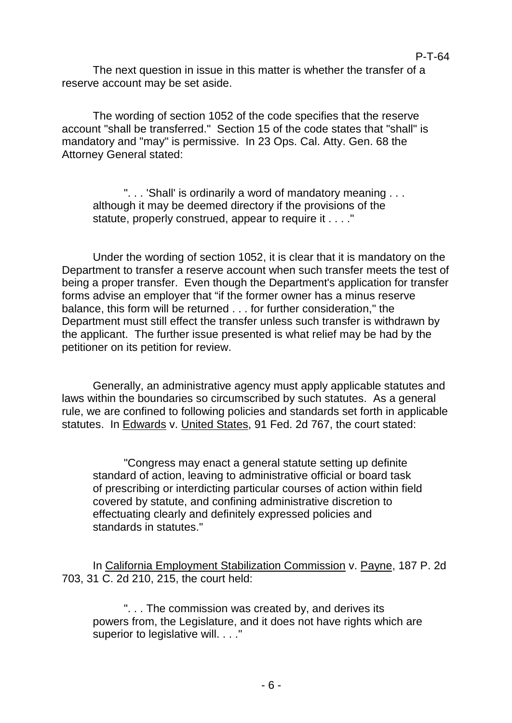The next question in issue in this matter is whether the transfer of a reserve account may be set aside.

The wording of section 1052 of the code specifies that the reserve account "shall be transferred." Section 15 of the code states that "shall" is mandatory and "may" is permissive. In 23 Ops. Cal. Atty. Gen. 68 the Attorney General stated:

". . . 'Shall' is ordinarily a word of mandatory meaning . . . although it may be deemed directory if the provisions of the statute, properly construed, appear to require it . . . ."

Under the wording of section 1052, it is clear that it is mandatory on the Department to transfer a reserve account when such transfer meets the test of being a proper transfer. Even though the Department's application for transfer forms advise an employer that "if the former owner has a minus reserve balance, this form will be returned . . . for further consideration," the Department must still effect the transfer unless such transfer is withdrawn by the applicant. The further issue presented is what relief may be had by the petitioner on its petition for review.

Generally, an administrative agency must apply applicable statutes and laws within the boundaries so circumscribed by such statutes. As a general rule, we are confined to following policies and standards set forth in applicable statutes. In Edwards v. United States, 91 Fed. 2d 767, the court stated:

"Congress may enact a general statute setting up definite standard of action, leaving to administrative official or board task of prescribing or interdicting particular courses of action within field covered by statute, and confining administrative discretion to effectuating clearly and definitely expressed policies and standards in statutes."

In California Employment Stabilization Commission v. Payne, 187 P. 2d 703, 31 C. 2d 210, 215, the court held:

". . . The commission was created by, and derives its powers from, the Legislature, and it does not have rights which are superior to legislative will. . . ."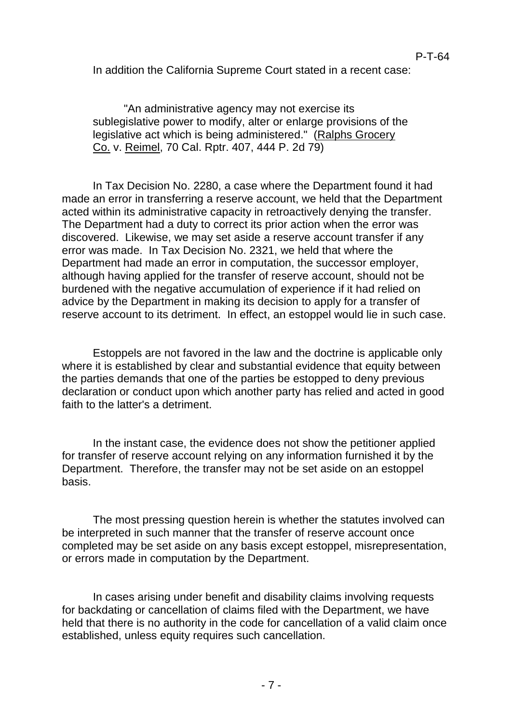P-T-64

In addition the California Supreme Court stated in a recent case:

"An administrative agency may not exercise its sublegislative power to modify, alter or enlarge provisions of the legislative act which is being administered." (Ralphs Grocery Co. v. Reimel, 70 Cal. Rptr. 407, 444 P. 2d 79)

In Tax Decision No. 2280, a case where the Department found it had made an error in transferring a reserve account, we held that the Department acted within its administrative capacity in retroactively denying the transfer. The Department had a duty to correct its prior action when the error was discovered. Likewise, we may set aside a reserve account transfer if any error was made. In Tax Decision No. 2321, we held that where the Department had made an error in computation, the successor employer, although having applied for the transfer of reserve account, should not be burdened with the negative accumulation of experience if it had relied on advice by the Department in making its decision to apply for a transfer of reserve account to its detriment. In effect, an estoppel would lie in such case.

Estoppels are not favored in the law and the doctrine is applicable only where it is established by clear and substantial evidence that equity between the parties demands that one of the parties be estopped to deny previous declaration or conduct upon which another party has relied and acted in good faith to the latter's a detriment.

In the instant case, the evidence does not show the petitioner applied for transfer of reserve account relying on any information furnished it by the Department. Therefore, the transfer may not be set aside on an estoppel basis.

The most pressing question herein is whether the statutes involved can be interpreted in such manner that the transfer of reserve account once completed may be set aside on any basis except estoppel, misrepresentation, or errors made in computation by the Department.

In cases arising under benefit and disability claims involving requests for backdating or cancellation of claims filed with the Department, we have held that there is no authority in the code for cancellation of a valid claim once established, unless equity requires such cancellation.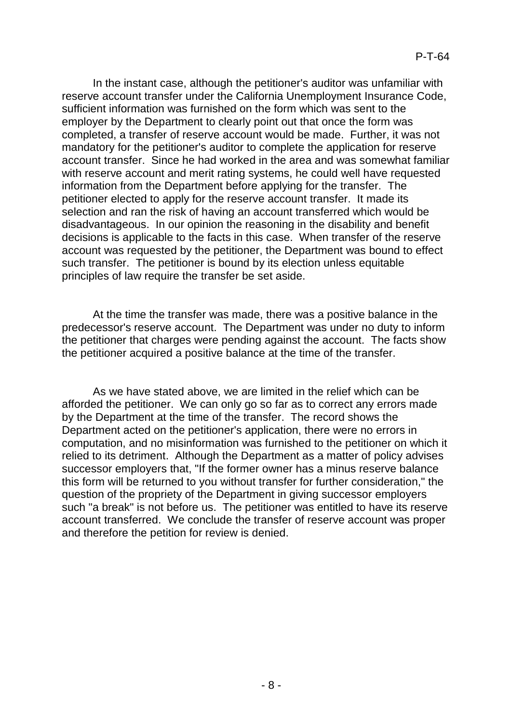In the instant case, although the petitioner's auditor was unfamiliar with reserve account transfer under the California Unemployment Insurance Code, sufficient information was furnished on the form which was sent to the employer by the Department to clearly point out that once the form was completed, a transfer of reserve account would be made. Further, it was not mandatory for the petitioner's auditor to complete the application for reserve account transfer. Since he had worked in the area and was somewhat familiar with reserve account and merit rating systems, he could well have requested information from the Department before applying for the transfer. The petitioner elected to apply for the reserve account transfer. It made its selection and ran the risk of having an account transferred which would be disadvantageous. In our opinion the reasoning in the disability and benefit decisions is applicable to the facts in this case. When transfer of the reserve account was requested by the petitioner, the Department was bound to effect such transfer. The petitioner is bound by its election unless equitable principles of law require the transfer be set aside.

At the time the transfer was made, there was a positive balance in the predecessor's reserve account. The Department was under no duty to inform the petitioner that charges were pending against the account. The facts show the petitioner acquired a positive balance at the time of the transfer.

As we have stated above, we are limited in the relief which can be afforded the petitioner. We can only go so far as to correct any errors made by the Department at the time of the transfer. The record shows the Department acted on the petitioner's application, there were no errors in computation, and no misinformation was furnished to the petitioner on which it relied to its detriment. Although the Department as a matter of policy advises successor employers that, "If the former owner has a minus reserve balance this form will be returned to you without transfer for further consideration," the question of the propriety of the Department in giving successor employers such "a break" is not before us. The petitioner was entitled to have its reserve account transferred. We conclude the transfer of reserve account was proper and therefore the petition for review is denied.